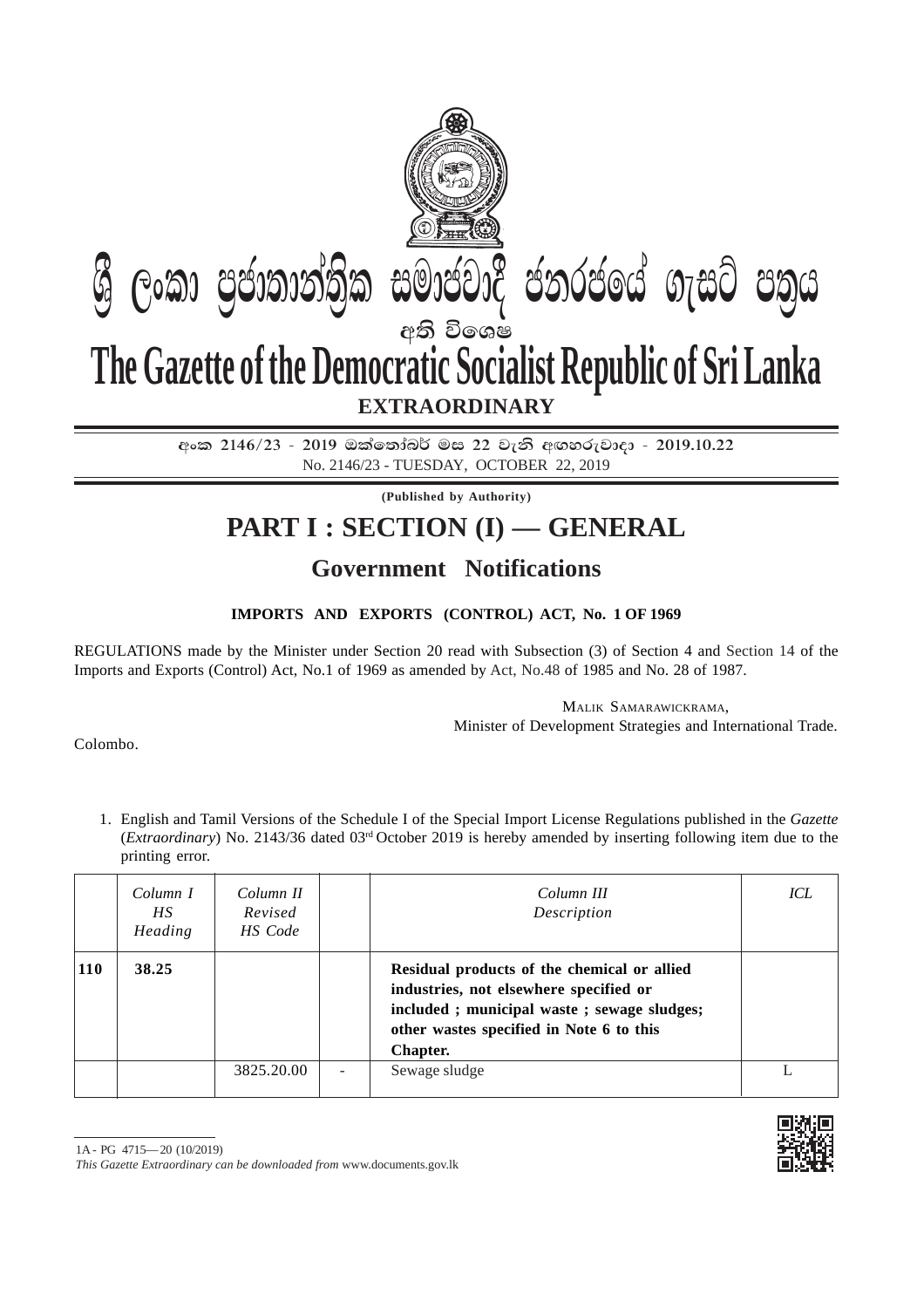

අංක 2146/23 - 2019 ඔක්තෝබර් මස 22 වැනි අඟහරුවාදා - 2019.10.22 No. 2146/23 - TUESDAY, OCTOBER 22, 2019

**(Published by Authority)**

## **PART I : SECTION (I) — GENERAL**

## **Government Notifications**

## **IMPORTS AND EXPORTS (CONTROL) ACT, No. 1 OF 1969**

REGULATIONS made by the Minister under Section 20 read with Subsection (3) of Section 4 and Section 14 of the Imports and Exports (Control) Act, No.1 of 1969 as amended by Act, No.48 of 1985 and No. 28 of 1987.

> MALIK SAMARAWICKRAMA, Minister of Development Strategies and International Trade.

Colombo.

1. English and Tamil Versions of the Schedule I of the Special Import License Regulations published in the *Gazette* (*Extraordinary*) No. 2143/36 dated 03rd October 2019 is hereby amended by inserting following item due to the printing error.

|            | Column I<br>HS.<br>Heading | Column II<br>Revised<br>HS Code | Column III<br>Description                                                                                                                                                                   | ICL |
|------------|----------------------------|---------------------------------|---------------------------------------------------------------------------------------------------------------------------------------------------------------------------------------------|-----|
| <b>110</b> | 38.25                      |                                 | Residual products of the chemical or allied<br>industries, not elsewhere specified or<br>included; municipal waste; sewage sludges;<br>other wastes specified in Note 6 to this<br>Chapter. |     |
|            |                            | 3825.20.00                      | Sewage sludge                                                                                                                                                                               |     |



*This Gazette Extraordinary can be downloaded from* www.documents.gov.lk

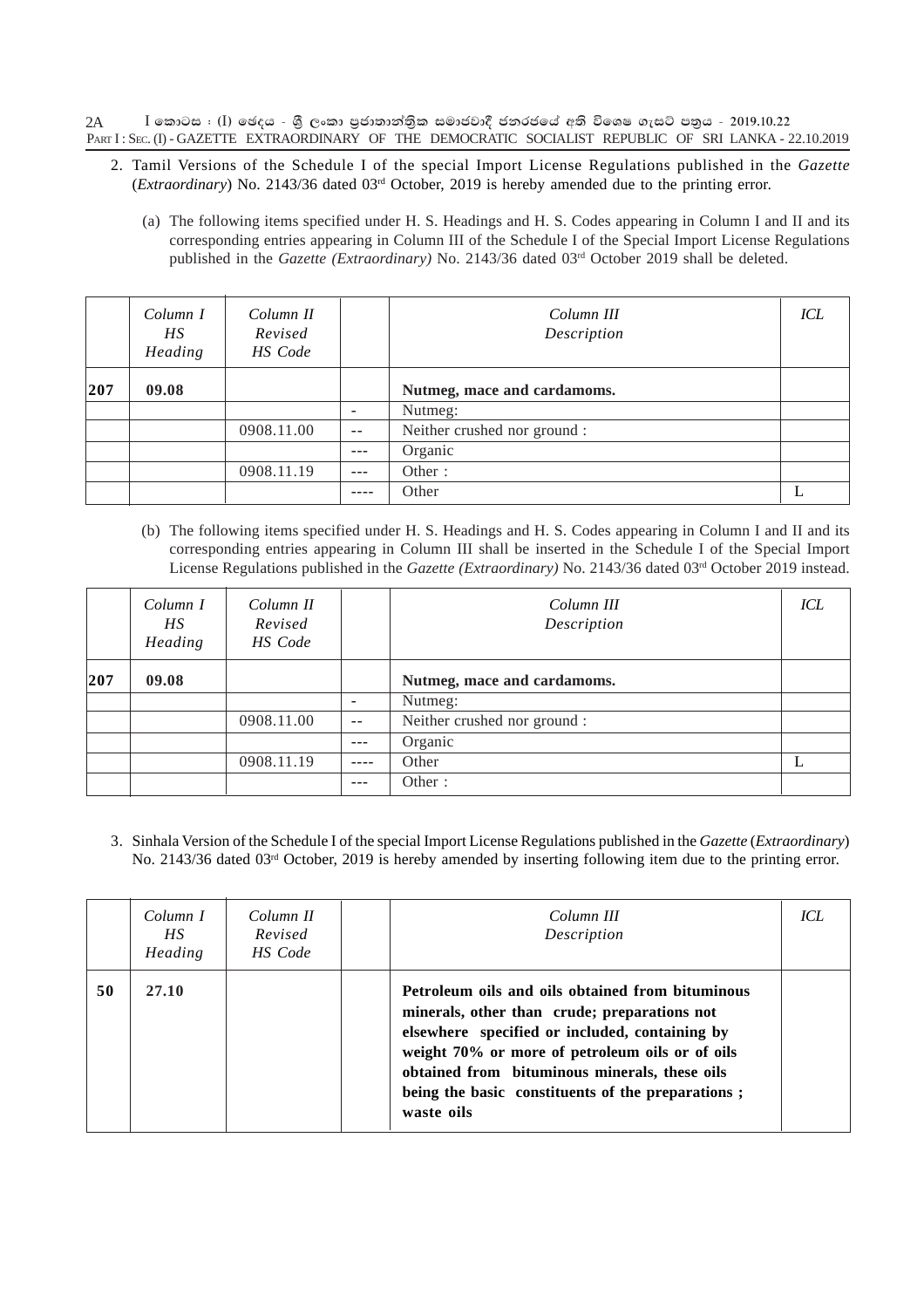$\bar{\rm I}$  කොටස : (I) ඡෙදය - ශී ලංකා පුජාතාන්තික සමාජවාදී ජනරජයේ අති විශෙෂ ගැසට් පතුය - 2019.10.22 PART I: SEC. (I) - GAZETTE EXTRAORDINARY OF THE DEMOCRATIC SOCIALIST REPUBLIC OF SRI LANKA - 22.10.2019 2A

- 2. Tamil Versions of the Schedule I of the special Import License Regulations published in the *Gazette* (*Extraordinary*) No. 2143/36 dated 03rd October, 2019 is hereby amended due to the printing error.
	- (a) The following items specified under H. S. Headings and H. S. Codes appearing in Column I and II and its corresponding entries appearing in Column III of the Schedule I of the Special Import License Regulations published in the *Gazette (Extraordinary)* No. 2143/36 dated 03<sup>rd</sup> October 2019 shall be deleted.

|     | Column I<br>HS<br>Heading | Column II<br>Revised<br>HS Code |                              | Column III<br>Description    | ICL |
|-----|---------------------------|---------------------------------|------------------------------|------------------------------|-----|
| 207 | 09.08                     |                                 |                              | Nutmeg, mace and cardamoms.  |     |
|     |                           |                                 | $\qquad \qquad \blacksquare$ | Nutmeg:                      |     |
|     |                           | 0908.11.00                      | $ -$                         | Neither crushed nor ground : |     |
|     |                           |                                 | $- - -$                      | Organic                      |     |
|     |                           | 0908.11.19                      |                              | Other:                       |     |
|     |                           |                                 |                              | Other                        |     |

(b) The following items specified under H. S. Headings and H. S. Codes appearing in Column I and II and its corresponding entries appearing in Column III shall be inserted in the Schedule I of the Special Import License Regulations published in the *Gazette (Extraordinary)* No. 2143/36 dated 03rd October 2019 instead.

|     | Column I<br>HS<br>Heading | Column II<br>Revised<br>HS Code |      | Column III<br>Description    | ICL |
|-----|---------------------------|---------------------------------|------|------------------------------|-----|
| 207 | 09.08                     |                                 |      | Nutmeg, mace and cardamoms.  |     |
|     |                           |                                 |      | Nutmeg:                      |     |
|     |                           | 0908.11.00                      | $ -$ | Neither crushed nor ground : |     |
|     |                           |                                 |      | Organic                      |     |
|     |                           | 0908.11.19                      |      | Other                        |     |
|     |                           |                                 |      | Other:                       |     |

3. Sinhala Version of the Schedule I of the special Import License Regulations published in the *Gazette* (*Extraordinary*) No. 2143/36 dated 03<sup>rd</sup> October, 2019 is hereby amended by inserting following item due to the printing error.

|    | Column I<br>HS.<br>Heading | Column II<br>Revised<br>HS Code | Column III<br>Description                                                                                                                                                                                                                                                                                                 | ICL |
|----|----------------------------|---------------------------------|---------------------------------------------------------------------------------------------------------------------------------------------------------------------------------------------------------------------------------------------------------------------------------------------------------------------------|-----|
| 50 | 27.10                      |                                 | Petroleum oils and oils obtained from bituminous<br>minerals, other than crude; preparations not<br>elsewhere specified or included, containing by<br>weight 70% or more of petroleum oils or of oils<br>obtained from bituminous minerals, these oils<br>being the basic constituents of the preparations;<br>waste oils |     |